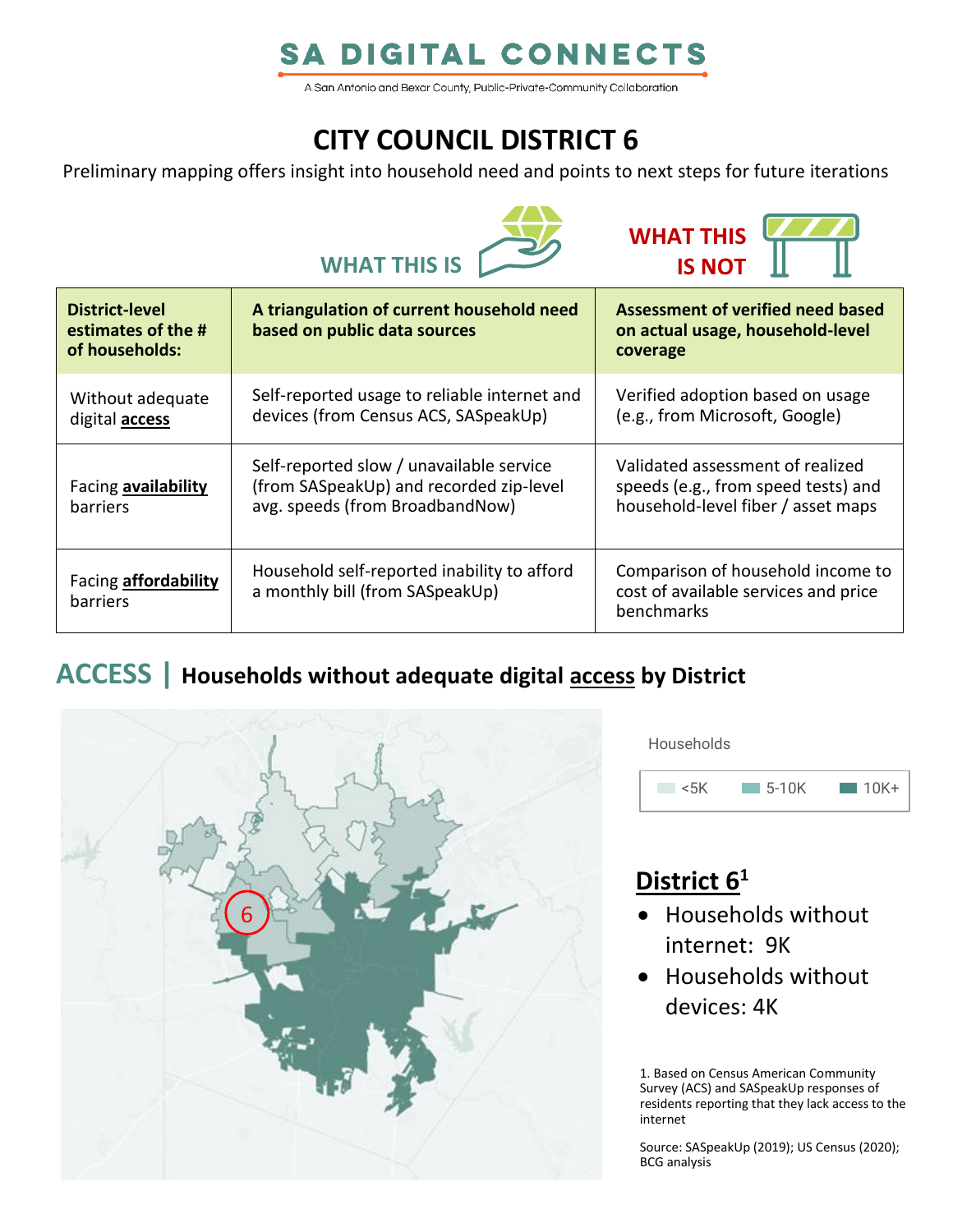# **SA DIGITAL CONNECTS**

A San Antonio and Bexar County, Public-Private-Community Collaboration

# **CITY COUNCIL DISTRICT 6**

Preliminary mapping offers insight into household need and points to next steps for future iterations





| District-level<br>estimates of the #<br>of households: | A triangulation of current household need<br>based on public data sources                                              | Assessment of verified need based<br>on actual usage, household-level<br>coverage                             |
|--------------------------------------------------------|------------------------------------------------------------------------------------------------------------------------|---------------------------------------------------------------------------------------------------------------|
| Without adequate<br>digital <b>access</b>              | Self-reported usage to reliable internet and<br>devices (from Census ACS, SASpeakUp)                                   | Verified adoption based on usage<br>(e.g., from Microsoft, Google)                                            |
| Facing availability<br>barriers                        | Self-reported slow / unavailable service<br>(from SASpeakUp) and recorded zip-level<br>avg. speeds (from BroadbandNow) | Validated assessment of realized<br>speeds (e.g., from speed tests) and<br>household-level fiber / asset maps |
| Facing <b>affordability</b><br>barriers                | Household self-reported inability to afford<br>a monthly bill (from SASpeakUp)                                         | Comparison of household income to<br>cost of available services and price<br>benchmarks                       |

### **ACCESS | Households without adequate digital access by District**



**Households** 



# **District 6<sup>1</sup>**

- Households without internet: 9K
- Households without devices: 4K

1. Based on Census American Community Survey (ACS) and SASpeakUp responses of residents reporting that they lack access to the internet

Source: SASpeakUp (2019); US Census (2020); BCG analysis